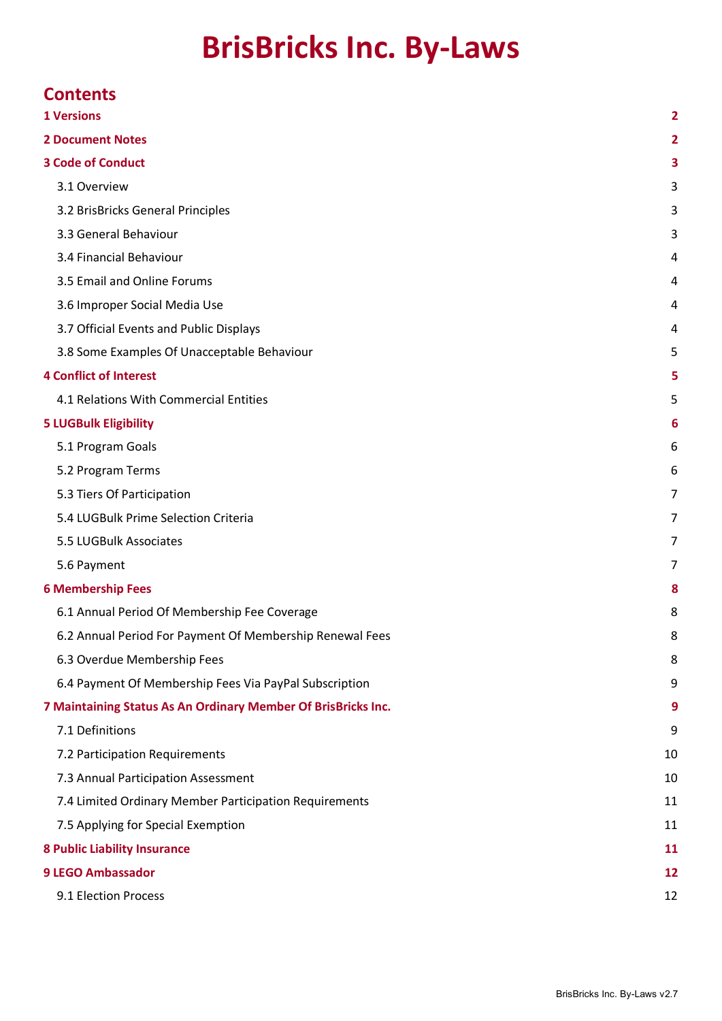# **BrisBricks Inc. By-Laws**

| <b>Contents</b>                                               |    |
|---------------------------------------------------------------|----|
| <b>1 Versions</b>                                             | 2  |
| <b>2 Document Notes</b>                                       | 2  |
| <b>3 Code of Conduct</b>                                      | з  |
| 3.1 Overview                                                  | 3  |
| 3.2 BrisBricks General Principles                             | 3  |
| 3.3 General Behaviour                                         | 3  |
| 3.4 Financial Behaviour                                       | 4  |
| 3.5 Email and Online Forums                                   | 4  |
| 3.6 Improper Social Media Use                                 | 4  |
| 3.7 Official Events and Public Displays                       | 4  |
| 3.8 Some Examples Of Unacceptable Behaviour                   | 5  |
| <b>4 Conflict of Interest</b>                                 | 5  |
| 4.1 Relations With Commercial Entities                        | 5  |
| <b>5 LUGBulk Eligibility</b>                                  | 6  |
| 5.1 Program Goals                                             | 6  |
| 5.2 Program Terms                                             | 6  |
| 5.3 Tiers Of Participation                                    | 7  |
| 5.4 LUGBulk Prime Selection Criteria                          | 7  |
| 5.5 LUGBulk Associates                                        | 7  |
| 5.6 Payment                                                   | 7  |
| <b>6 Membership Fees</b>                                      | 8  |
| 6.1 Annual Period Of Membership Fee Coverage                  | 8  |
| 6.2 Annual Period For Payment Of Membership Renewal Fees      | 8  |
| 6.3 Overdue Membership Fees                                   | 8  |
| 6.4 Payment Of Membership Fees Via PayPal Subscription        | 9  |
| 7 Maintaining Status As An Ordinary Member Of BrisBricks Inc. | 9  |
| 7.1 Definitions                                               | 9  |
| 7.2 Participation Requirements                                | 10 |
| 7.3 Annual Participation Assessment                           | 10 |
| 7.4 Limited Ordinary Member Participation Requirements        | 11 |
| 7.5 Applying for Special Exemption                            | 11 |
| <b>8 Public Liability Insurance</b>                           | 11 |
| <b>9 LEGO Ambassador</b>                                      |    |
| 9.1 Election Process                                          | 12 |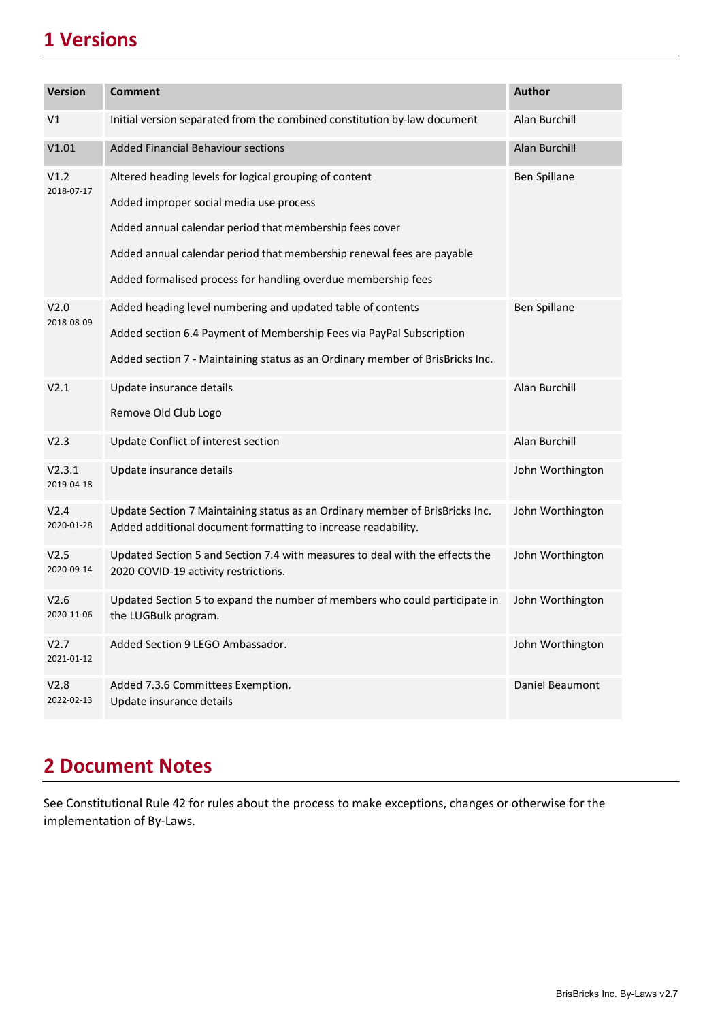## <span id="page-1-0"></span>**1 Versions**

| <b>Version</b>                 | <b>Comment</b>                                                                                                                                | <b>Author</b>       |
|--------------------------------|-----------------------------------------------------------------------------------------------------------------------------------------------|---------------------|
|                                |                                                                                                                                               |                     |
| V1                             | Initial version separated from the combined constitution by-law document                                                                      | Alan Burchill       |
| V1.01                          | <b>Added Financial Behaviour sections</b>                                                                                                     | Alan Burchill       |
| V1.2<br>2018-07-17             | Altered heading levels for logical grouping of content                                                                                        | <b>Ben Spillane</b> |
|                                | Added improper social media use process                                                                                                       |                     |
|                                | Added annual calendar period that membership fees cover                                                                                       |                     |
|                                | Added annual calendar period that membership renewal fees are payable                                                                         |                     |
|                                | Added formalised process for handling overdue membership fees                                                                                 |                     |
| V <sub>2.0</sub><br>2018-08-09 | Added heading level numbering and updated table of contents                                                                                   | <b>Ben Spillane</b> |
|                                | Added section 6.4 Payment of Membership Fees via PayPal Subscription                                                                          |                     |
|                                | Added section 7 - Maintaining status as an Ordinary member of BrisBricks Inc.                                                                 |                     |
| V2.1                           | Update insurance details                                                                                                                      | Alan Burchill       |
|                                | Remove Old Club Logo                                                                                                                          |                     |
| V2.3                           | Update Conflict of interest section                                                                                                           | Alan Burchill       |
| V2.3.1<br>2019-04-18           | Update insurance details                                                                                                                      | John Worthington    |
| V <sub>2.4</sub><br>2020-01-28 | Update Section 7 Maintaining status as an Ordinary member of BrisBricks Inc.<br>Added additional document formatting to increase readability. | John Worthington    |
| V <sub>2.5</sub><br>2020-09-14 | Updated Section 5 and Section 7.4 with measures to deal with the effects the<br>2020 COVID-19 activity restrictions.                          | John Worthington    |
| V2.6<br>2020-11-06             | Updated Section 5 to expand the number of members who could participate in<br>the LUGBulk program.                                            | John Worthington    |
| V2.7<br>2021-01-12             | Added Section 9 LEGO Ambassador.                                                                                                              | John Worthington    |
| V2.8<br>2022-02-13             | Added 7.3.6 Committees Exemption.<br>Update insurance details                                                                                 | Daniel Beaumont     |

## <span id="page-1-1"></span>**2 Document Notes**

See Constitutional Rule 42 for rules about the process to make exceptions, changes or otherwise for the implementation of By-Laws.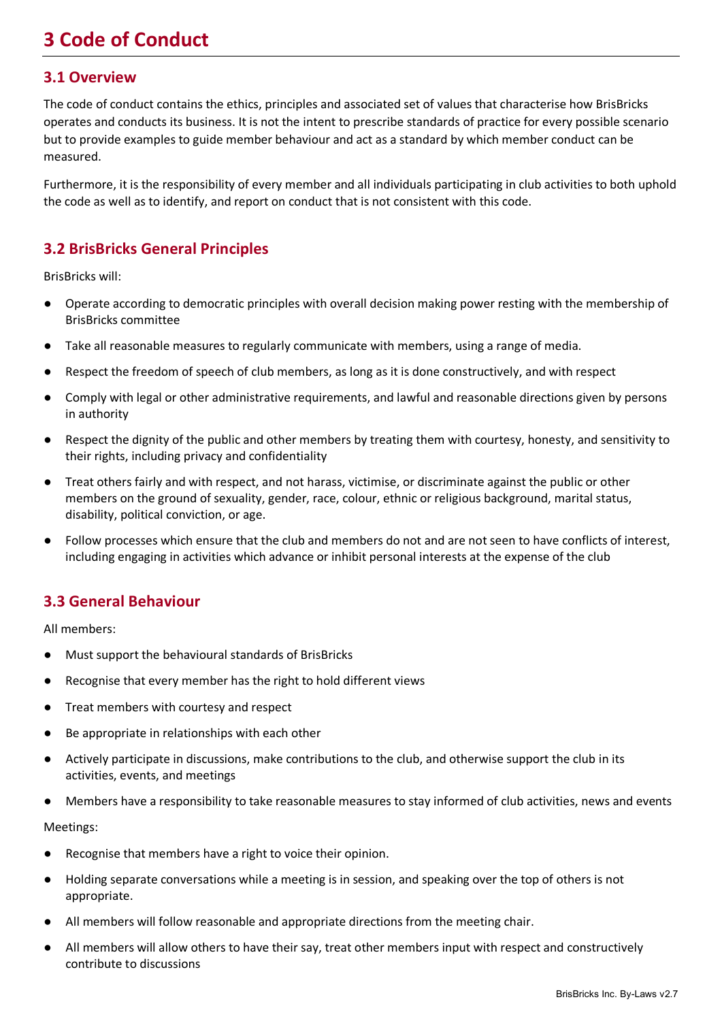## <span id="page-2-0"></span>**3 Code of Conduct**

### <span id="page-2-1"></span>**3.1 Overview**

The code of conduct contains the ethics, principles and associated set of values that characterise how BrisBricks operates and conducts its business. It is not the intent to prescribe standards of practice for every possible scenario but to provide examples to guide member behaviour and act as a standard by which member conduct can be measured.

Furthermore, it is the responsibility of every member and all individuals participating in club activities to both uphold the code as well as to identify, and report on conduct that is not consistent with this code.

## <span id="page-2-2"></span>**3.2 BrisBricks General Principles**

BrisBricks will:

- Operate according to democratic principles with overall decision making power resting with the membership of BrisBricks committee
- Take all reasonable measures to regularly communicate with members, using a range of media.
- Respect the freedom of speech of club members, as long as it is done constructively, and with respect
- Comply with legal or other administrative requirements, and lawful and reasonable directions given by persons in authority
- Respect the dignity of the public and other members by treating them with courtesy, honesty, and sensitivity to their rights, including privacy and confidentiality
- Treat others fairly and with respect, and not harass, victimise, or discriminate against the public or other members on the ground of sexuality, gender, race, colour, ethnic or religious background, marital status, disability, political conviction, or age.
- Follow processes which ensure that the club and members do not and are not seen to have conflicts of interest, including engaging in activities which advance or inhibit personal interests at the expense of the club

## <span id="page-2-3"></span>**3.3 General Behaviour**

All members:

- Must support the behavioural standards of BrisBricks
- Recognise that every member has the right to hold different views
- Treat members with courtesy and respect
- Be appropriate in relationships with each other
- Actively participate in discussions, make contributions to the club, and otherwise support the club in its activities, events, and meetings
- Members have a responsibility to take reasonable measures to stay informed of club activities, news and events

Meetings:

- Recognise that members have a right to voice their opinion.
- Holding separate conversations while a meeting is in session, and speaking over the top of others is not appropriate.
- All members will follow reasonable and appropriate directions from the meeting chair.
- All members will allow others to have their say, treat other members input with respect and constructively contribute to discussions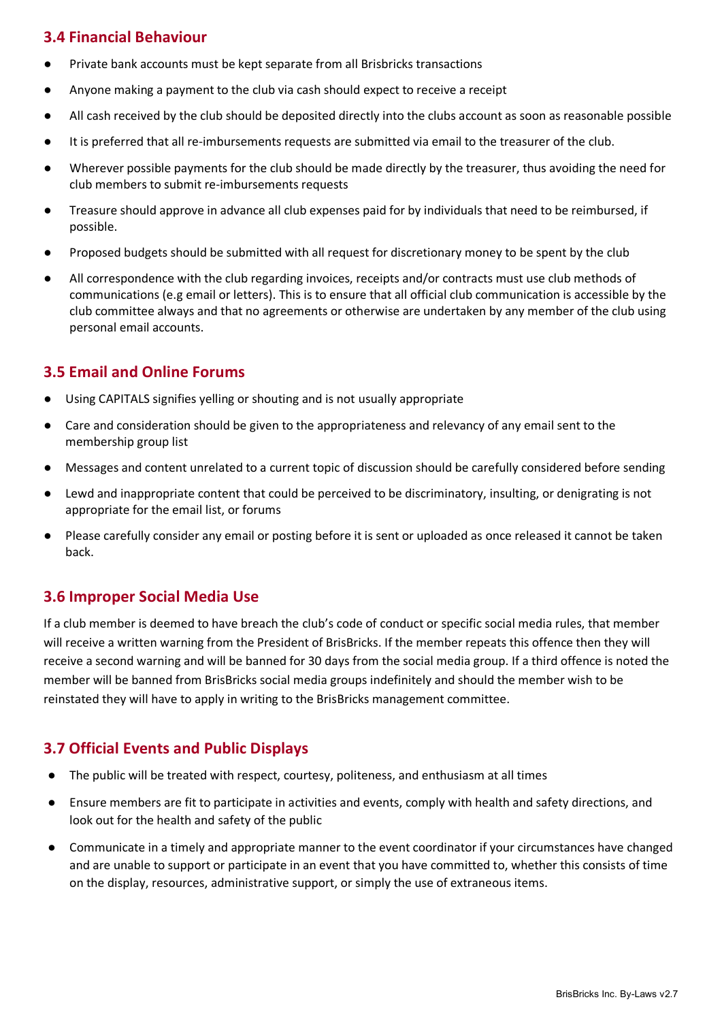## <span id="page-3-0"></span>**3.4 Financial Behaviour**

- Private bank accounts must be kept separate from all Brisbricks transactions
- Anyone making a payment to the club via cash should expect to receive a receipt
- All cash received by the club should be deposited directly into the clubs account as soon as reasonable possible
- It is preferred that all re-imbursements requests are submitted via email to the treasurer of the club.
- Wherever possible payments for the club should be made directly by the treasurer, thus avoiding the need for club members to submit re-imbursements requests
- Treasure should approve in advance all club expenses paid for by individuals that need to be reimbursed, if possible.
- Proposed budgets should be submitted with all request for discretionary money to be spent by the club
- All correspondence with the club regarding invoices, receipts and/or contracts must use club methods of communications (e.g email or letters). This is to ensure that all official club communication is accessible by the club committee always and that no agreements or otherwise are undertaken by any member of the club using personal email accounts.

## <span id="page-3-1"></span>**3.5 Email and Online Forums**

- Using CAPITALS signifies yelling or shouting and is not usually appropriate
- Care and consideration should be given to the appropriateness and relevancy of any email sent to the membership group list
- Messages and content unrelated to a current topic of discussion should be carefully considered before sending
- Lewd and inappropriate content that could be perceived to be discriminatory, insulting, or denigrating is not appropriate for the email list, or forums
- Please carefully consider any email or posting before it is sent or uploaded as once released it cannot be taken back.

## <span id="page-3-2"></span>**3.6 Improper Social Media Use**

If a club member is deemed to have breach the club's code of conduct or specific social media rules, that member will receive a written warning from the President of BrisBricks. If the member repeats this offence then they will receive a second warning and will be banned for 30 days from the social media group. If a third offence is noted the member will be banned from BrisBricks social media groups indefinitely and should the member wish to be reinstated they will have to apply in writing to the BrisBricks management committee.

## <span id="page-3-3"></span>**3.7 Official Events and Public Displays**

- The public will be treated with respect, courtesy, politeness, and enthusiasm at all times
- Ensure members are fit to participate in activities and events, comply with health and safety directions, and look out for the health and safety of the public
- Communicate in a timely and appropriate manner to the event coordinator if your circumstances have changed and are unable to support or participate in an event that you have committed to, whether this consists of time on the display, resources, administrative support, or simply the use of extraneous items.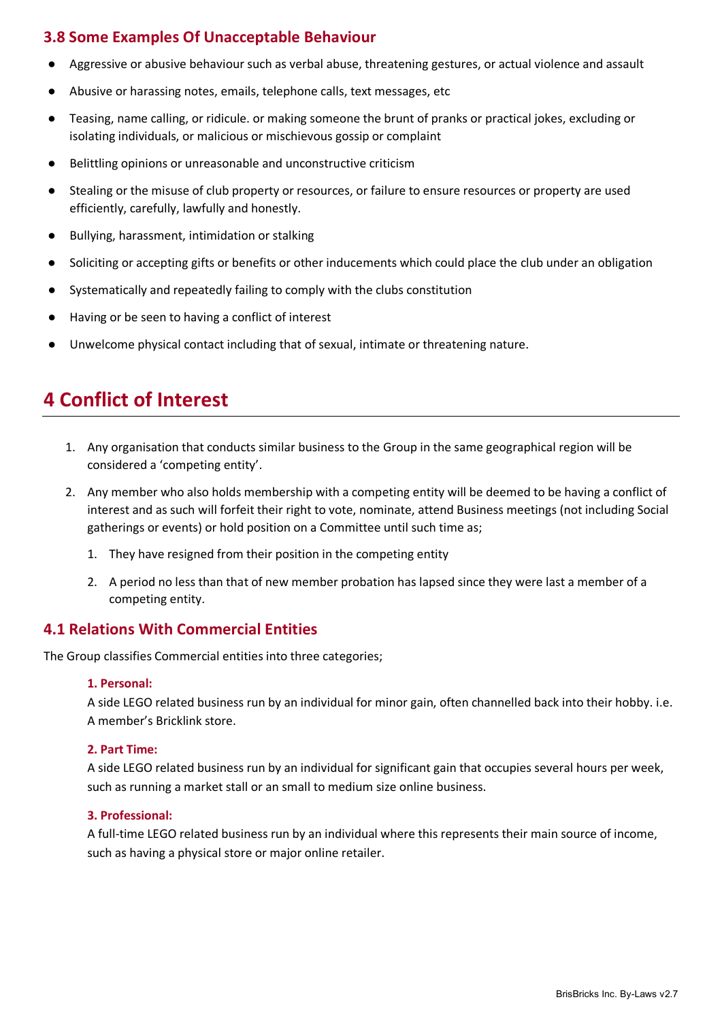## <span id="page-4-0"></span>**3.8 Some Examples Of Unacceptable Behaviour**

- Aggressive or abusive behaviour such as verbal abuse, threatening gestures, or actual violence and assault
- Abusive or harassing notes, emails, telephone calls, text messages, etc
- Teasing, name calling, or ridicule. or making someone the brunt of pranks or practical jokes, excluding or isolating individuals, or malicious or mischievous gossip or complaint
- Belittling opinions or unreasonable and unconstructive criticism
- Stealing or the misuse of club property or resources, or failure to ensure resources or property are used efficiently, carefully, lawfully and honestly.
- Bullying, harassment, intimidation or stalking
- Soliciting or accepting gifts or benefits or other inducements which could place the club under an obligation
- Systematically and repeatedly failing to comply with the clubs constitution
- Having or be seen to having a conflict of interest
- Unwelcome physical contact including that of sexual, intimate or threatening nature.

## <span id="page-4-1"></span>**4 Conflict of Interest**

- 1. Any organisation that conducts similar business to the Group in the same geographical region will be considered a 'competing entity'.
- 2. Any member who also holds membership with a competing entity will be deemed to be having a conflict of interest and as such will forfeit their right to vote, nominate, attend Business meetings (not including Social gatherings or events) or hold position on a Committee until such time as;
	- 1. They have resigned from their position in the competing entity
	- 2. A period no less than that of new member probation has lapsed since they were last a member of a competing entity.

### <span id="page-4-2"></span>**4.1 Relations With Commercial Entities**

The Group classifies Commercial entities into three categories;

#### **1. Personal:**

A side LEGO related business run by an individual for minor gain, often channelled back into their hobby. i.e. A member's Bricklink store.

#### **2. Part Time:**

A side LEGO related business run by an individual for significant gain that occupies several hours per week, such as running a market stall or an small to medium size online business.

#### **3. Professional:**

A full-time LEGO related business run by an individual where this represents their main source of income, such as having a physical store or major online retailer.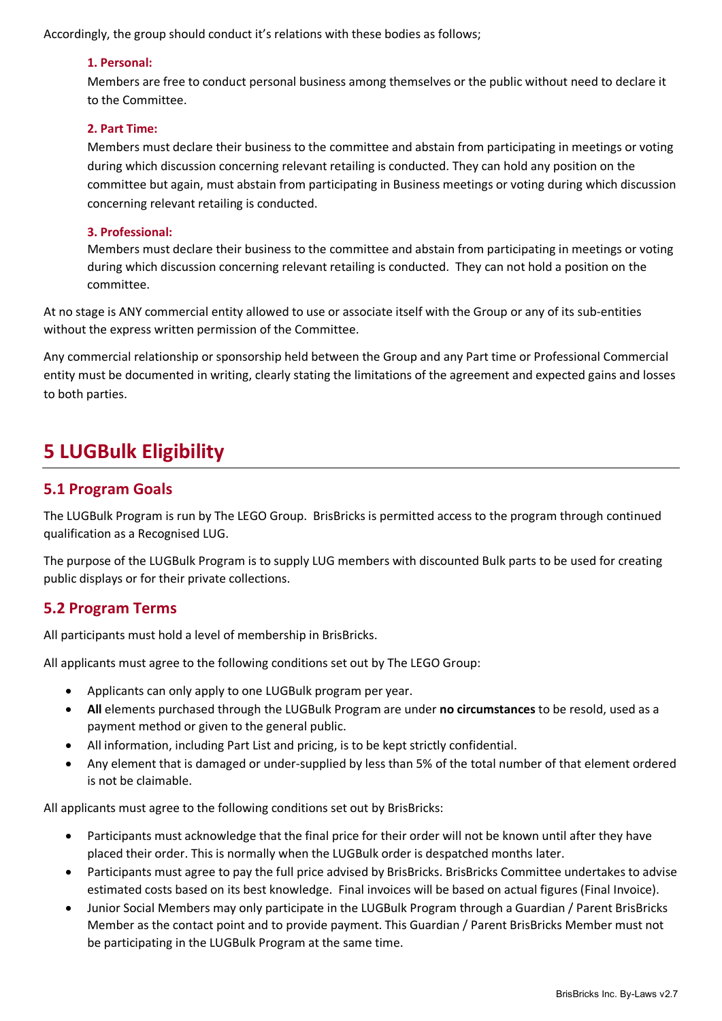Accordingly, the group should conduct it's relations with these bodies as follows;

#### **1. Personal:**

Members are free to conduct personal business among themselves or the public without need to declare it to the Committee.

#### **2. Part Time:**

Members must declare their business to the committee and abstain from participating in meetings or voting during which discussion concerning relevant retailing is conducted. They can hold any position on the committee but again, must abstain from participating in Business meetings or voting during which discussion concerning relevant retailing is conducted.

#### **3. Professional:**

Members must declare their business to the committee and abstain from participating in meetings or voting during which discussion concerning relevant retailing is conducted. They can not hold a position on the committee.

At no stage is ANY commercial entity allowed to use or associate itself with the Group or any of its sub-entities without the express written permission of the Committee.

Any commercial relationship or sponsorship held between the Group and any Part time or Professional Commercial entity must be documented in writing, clearly stating the limitations of the agreement and expected gains and losses to both parties.

## <span id="page-5-0"></span>**5 LUGBulk Eligibility**

### <span id="page-5-1"></span>**5.1 Program Goals**

The LUGBulk Program is run by The LEGO Group. BrisBricks is permitted access to the program through continued qualification as a Recognised LUG.

The purpose of the LUGBulk Program is to supply LUG members with discounted Bulk parts to be used for creating public displays or for their private collections.

## <span id="page-5-2"></span>**5.2 Program Terms**

All participants must hold a level of membership in BrisBricks.

All applicants must agree to the following conditions set out by The LEGO Group:

- Applicants can only apply to one LUGBulk program per year.
- **All** elements purchased through the LUGBulk Program are under **no circumstances** to be resold, used as a payment method or given to the general public.
- All information, including Part List and pricing, is to be kept strictly confidential.
- Any element that is damaged or under-supplied by less than 5% of the total number of that element ordered is not be claimable.

All applicants must agree to the following conditions set out by BrisBricks:

- Participants must acknowledge that the final price for their order will not be known until after they have placed their order. This is normally when the LUGBulk order is despatched months later.
- Participants must agree to pay the full price advised by BrisBricks. BrisBricks Committee undertakes to advise estimated costs based on its best knowledge. Final invoices will be based on actual figures (Final Invoice).
- Junior Social Members may only participate in the LUGBulk Program through a Guardian / Parent BrisBricks Member as the contact point and to provide payment. This Guardian / Parent BrisBricks Member must not be participating in the LUGBulk Program at the same time.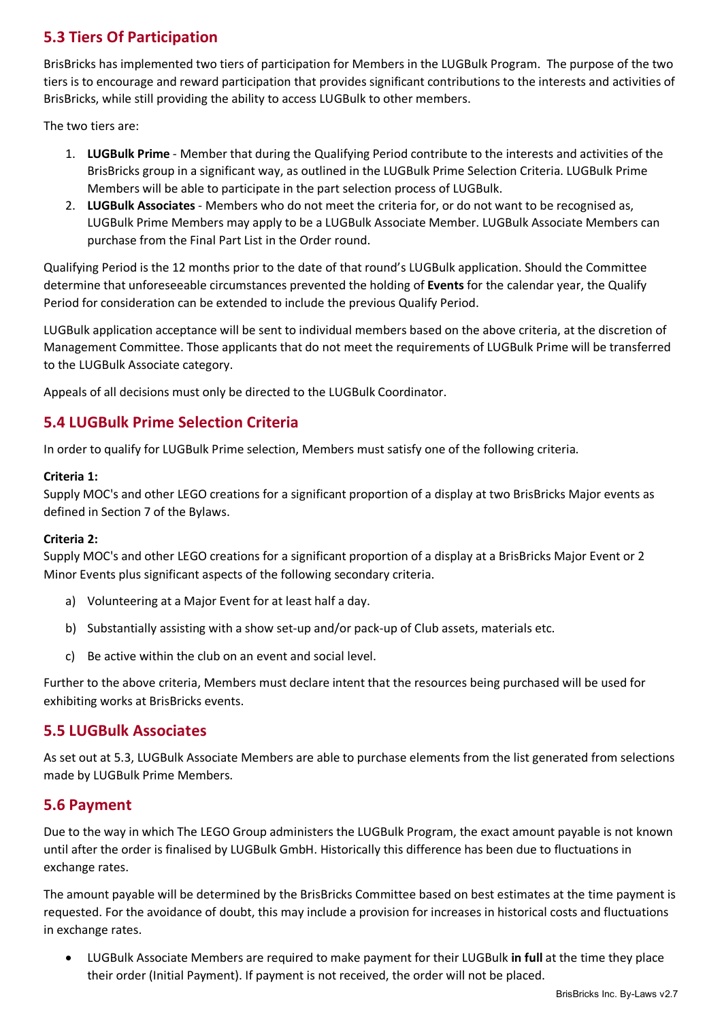## <span id="page-6-0"></span>**5.3 Tiers Of Participation**

BrisBricks has implemented two tiers of participation for Members in the LUGBulk Program. The purpose of the two tiers is to encourage and reward participation that provides significant contributions to the interests and activities of BrisBricks, while still providing the ability to access LUGBulk to other members.

The two tiers are:

- 1. **LUGBulk Prime**  Member that during the Qualifying Period contribute to the interests and activities of the BrisBricks group in a significant way, as outlined in the LUGBulk Prime Selection Criteria. LUGBulk Prime Members will be able to participate in the part selection process of LUGBulk.
- 2. **LUGBulk Associates**  Members who do not meet the criteria for, or do not want to be recognised as, LUGBulk Prime Members may apply to be a LUGBulk Associate Member. LUGBulk Associate Members can purchase from the Final Part List in the Order round.

Qualifying Period is the 12 months prior to the date of that round's LUGBulk application. Should the Committee determine that unforeseeable circumstances prevented the holding of **Events** for the calendar year, the Qualify Period for consideration can be extended to include the previous Qualify Period.

LUGBulk application acceptance will be sent to individual members based on the above criteria, at the discretion of Management Committee. Those applicants that do not meet the requirements of LUGBulk Prime will be transferred to the LUGBulk Associate category.

Appeals of all decisions must only be directed to the LUGBulk Coordinator.

## <span id="page-6-1"></span>**5.4 LUGBulk Prime Selection Criteria**

In order to qualify for LUGBulk Prime selection, Members must satisfy one of the following criteria.

#### **Criteria 1:**

Supply MOC's and other LEGO creations for a significant proportion of a display at two BrisBricks Major events as defined in Section 7 of the Bylaws.

#### **Criteria 2:**

Supply MOC's and other LEGO creations for a significant proportion of a display at a BrisBricks Major Event or 2 Minor Events plus significant aspects of the following secondary criteria.

- a) Volunteering at a Major Event for at least half a day.
- b) Substantially assisting with a show set-up and/or pack-up of Club assets, materials etc.
- c) Be active within the club on an event and social level.

Further to the above criteria, Members must declare intent that the resources being purchased will be used for exhibiting works at BrisBricks events.

### <span id="page-6-2"></span>**5.5 LUGBulk Associates**

As set out at 5.3, LUGBulk Associate Members are able to purchase elements from the list generated from selections made by LUGBulk Prime Members.

### <span id="page-6-3"></span>**5.6 Payment**

Due to the way in which The LEGO Group administers the LUGBulk Program, the exact amount payable is not known until after the order is finalised by LUGBulk GmbH. Historically this difference has been due to fluctuations in exchange rates.

The amount payable will be determined by the BrisBricks Committee based on best estimates at the time payment is requested. For the avoidance of doubt, this may include a provision for increases in historical costs and fluctuations in exchange rates.

• LUGBulk Associate Members are required to make payment for their LUGBulk **in full** at the time they place their order (Initial Payment). If payment is not received, the order will not be placed.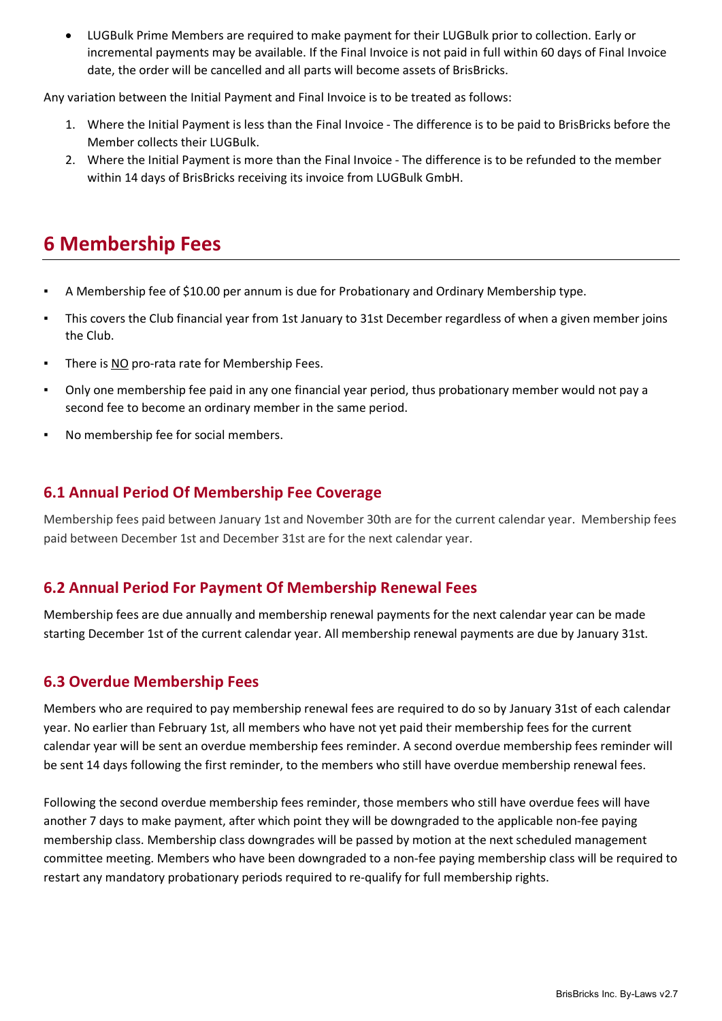• LUGBulk Prime Members are required to make payment for their LUGBulk prior to collection. Early or incremental payments may be available. If the Final Invoice is not paid in full within 60 days of Final Invoice date, the order will be cancelled and all parts will become assets of BrisBricks.

Any variation between the Initial Payment and Final Invoice is to be treated as follows:

- 1. Where the Initial Payment is less than the Final Invoice The difference is to be paid to BrisBricks before the Member collects their LUGBulk.
- 2. Where the Initial Payment is more than the Final Invoice The difference is to be refunded to the member within 14 days of BrisBricks receiving its invoice from LUGBulk GmbH.

## <span id="page-7-0"></span>**6 Membership Fees**

- A Membership fee of \$10.00 per annum is due for Probationary and Ordinary Membership type.
- This covers the Club financial year from 1st January to 31st December regardless of when a given member joins the Club.
- **There is NO pro-rata rate for Membership Fees.**
- Only one membership fee paid in any one financial year period, thus probationary member would not pay a second fee to become an ordinary member in the same period.
- No membership fee for social members.

## <span id="page-7-1"></span>**6.1 Annual Period Of Membership Fee Coverage**

Membership fees paid between January 1st and November 30th are for the current calendar year. Membership fees paid between December 1st and December 31st are for the next calendar year.

## <span id="page-7-2"></span>**6.2 Annual Period For Payment Of Membership Renewal Fees**

Membership fees are due annually and membership renewal payments for the next calendar year can be made starting December 1st of the current calendar year. All membership renewal payments are due by January 31st.

## <span id="page-7-3"></span>**6.3 Overdue Membership Fees**

Members who are required to pay membership renewal fees are required to do so by January 31st of each calendar year. No earlier than February 1st, all members who have not yet paid their membership fees for the current calendar year will be sent an overdue membership fees reminder. A second overdue membership fees reminder will be sent 14 days following the first reminder, to the members who still have overdue membership renewal fees.

Following the second overdue membership fees reminder, those members who still have overdue fees will have another 7 days to make payment, after which point they will be downgraded to the applicable non-fee paying membership class. Membership class downgrades will be passed by motion at the next scheduled management committee meeting. Members who have been downgraded to a non-fee paying membership class will be required to restart any mandatory probationary periods required to re-qualify for full membership rights.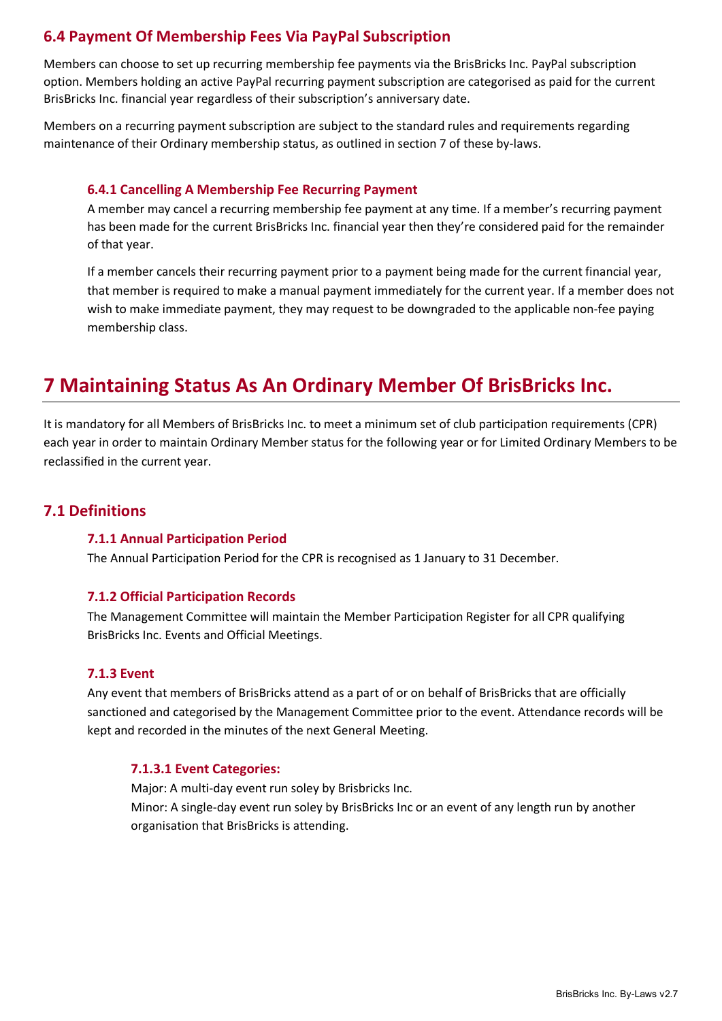## <span id="page-8-0"></span>**6.4 Payment Of Membership Fees Via PayPal Subscription**

Members can choose to set up recurring membership fee payments via the BrisBricks Inc. PayPal subscription option. Members holding an active PayPal recurring payment subscription are categorised as paid for the current BrisBricks Inc. financial year regardless of their subscription's anniversary date.

Members on a recurring payment subscription are subject to the standard rules and requirements regarding maintenance of their Ordinary membership status, as outlined in section 7 of these by-laws.

#### **6.4.1 Cancelling A Membership Fee Recurring Payment**

A member may cancel a recurring membership fee payment at any time. If a member's recurring payment has been made for the current BrisBricks Inc. financial year then they're considered paid for the remainder of that year.

If a member cancels their recurring payment prior to a payment being made for the current financial year, that member is required to make a manual payment immediately for the current year. If a member does not wish to make immediate payment, they may request to be downgraded to the applicable non-fee paying membership class.

## <span id="page-8-1"></span>**7 Maintaining Status As An Ordinary Member Of BrisBricks Inc.**

It is mandatory for all Members of BrisBricks Inc. to meet a minimum set of club participation requirements (CPR) each year in order to maintain Ordinary Member status for the following year or for Limited Ordinary Members to be reclassified in the current year.

## <span id="page-8-2"></span>**7.1 Definitions**

#### **7.1.1 Annual Participation Period**

The Annual Participation Period for the CPR is recognised as 1 January to 31 December.

#### **7.1.2 Official Participation Records**

The Management Committee will maintain the Member Participation Register for all CPR qualifying BrisBricks Inc. Events and Official Meetings.

#### **7.1.3 Event**

Any event that members of BrisBricks attend as a part of or on behalf of BrisBricks that are officially sanctioned and categorised by the Management Committee prior to the event. Attendance records will be kept and recorded in the minutes of the next General Meeting.

#### **7.1.3.1 Event Categories:**

Major: A multi-day event run soley by Brisbricks Inc. Minor: A single-day event run soley by BrisBricks Inc or an event of any length run by another organisation that BrisBricks is attending.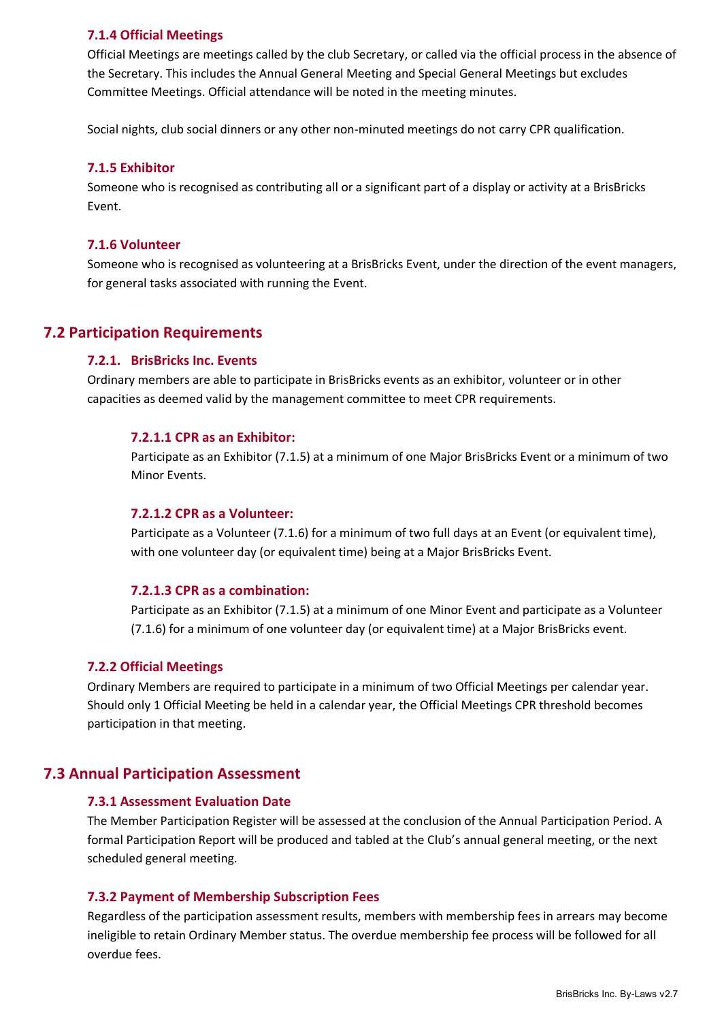#### **7.1.4 Official Meetings**

Official Meetings are meetings called by the club Secretary, or called via the official process in the absence of the Secretary. This includes the Annual General Meeting and Special General Meetings but excludes Committee Meetings. Official attendance will be noted in the meeting minutes.

Social nights, club social dinners or any other non-minuted meetings do not carry CPR qualification.

#### **7.1.5 Exhibitor**

Someone who is recognised as contributing all or a significant part of a display or activity at a BrisBricks Event.

#### **7.1.6 Volunteer**

Someone who is recognised as volunteering at a BrisBricks Event, under the direction of the event managers, for general tasks associated with running the Event.

### <span id="page-9-0"></span>**7.2 Participation Requirements**

#### **7.2.1. BrisBricks Inc. Events**

Ordinary members are able to participate in BrisBricks events as an exhibitor, volunteer or in other capacities as deemed valid by the management committee to meet CPR requirements.

#### **7.2.1.1 CPR as an Exhibitor:**

Participate as an Exhibitor (7.1.5) at a minimum of one Major BrisBricks Event or a minimum of two Minor Events.

#### **7.2.1.2 CPR as a Volunteer:**

Participate as a Volunteer (7.1.6) for a minimum of two full days at an Event (or equivalent time), with one volunteer day (or equivalent time) being at a Major BrisBricks Event.

#### **7.2.1.3 CPR as a combination:**

Participate as an Exhibitor (7.1.5) at a minimum of one Minor Event and participate as a Volunteer (7.1.6) for a minimum of one volunteer day (or equivalent time) at a Major BrisBricks event.

#### **7.2.2 Official Meetings**

Ordinary Members are required to participate in a minimum of two Official Meetings per calendar year. Should only 1 Official Meeting be held in a calendar year, the Official Meetings CPR threshold becomes participation in that meeting.

#### <span id="page-9-1"></span>**7.3 Annual Participation Assessment**

#### **7.3.1 Assessment Evaluation Date**

The Member Participation Register will be assessed at the conclusion of the Annual Participation Period. A formal Participation Report will be produced and tabled at the Club's annual general meeting, or the next scheduled general meeting.

#### **7.3.2 Payment of Membership Subscription Fees**

Regardless of the participation assessment results, members with membership fees in arrears may become ineligible to retain Ordinary Member status. The overdue membership fee process will be followed for all overdue fees.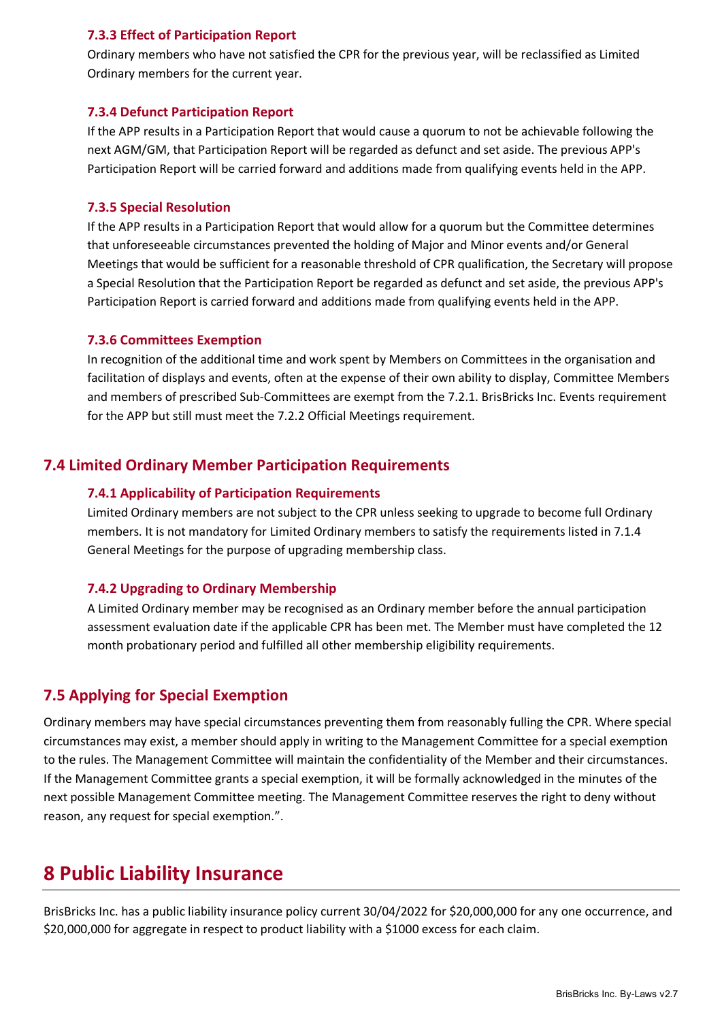#### **7.3.3 Effect of Participation Report**

Ordinary members who have not satisfied the CPR for the previous year, will be reclassified as Limited Ordinary members for the current year.

#### **7.3.4 Defunct Participation Report**

If the APP results in a Participation Report that would cause a quorum to not be achievable following the next AGM/GM, that Participation Report will be regarded as defunct and set aside. The previous APP's Participation Report will be carried forward and additions made from qualifying events held in the APP.

#### **7.3.5 Special Resolution**

If the APP results in a Participation Report that would allow for a quorum but the Committee determines that unforeseeable circumstances prevented the holding of Major and Minor events and/or General Meetings that would be sufficient for a reasonable threshold of CPR qualification, the Secretary will propose a Special Resolution that the Participation Report be regarded as defunct and set aside, the previous APP's Participation Report is carried forward and additions made from qualifying events held in the APP.

#### **7.3.6 Committees Exemption**

In recognition of the additional time and work spent by Members on Committees in the organisation and facilitation of displays and events, often at the expense of their own ability to display, Committee Members and members of prescribed Sub-Committees are exempt from the 7.2.1. BrisBricks Inc. Events requirement for the APP but still must meet the 7.2.2 Official Meetings requirement.

### <span id="page-10-0"></span>**7.4 Limited Ordinary Member Participation Requirements**

#### **7.4.1 Applicability of Participation Requirements**

Limited Ordinary members are not subject to the CPR unless seeking to upgrade to become full Ordinary members. It is not mandatory for Limited Ordinary members to satisfy the requirements listed in 7.1.4 General Meetings for the purpose of upgrading membership class.

#### **7.4.2 Upgrading to Ordinary Membership**

A Limited Ordinary member may be recognised as an Ordinary member before the annual participation assessment evaluation date if the applicable CPR has been met. The Member must have completed the 12 month probationary period and fulfilled all other membership eligibility requirements.

### <span id="page-10-1"></span>**7.5 Applying for Special Exemption**

Ordinary members may have special circumstances preventing them from reasonably fulling the CPR. Where special circumstances may exist, a member should apply in writing to the Management Committee for a special exemption to the rules. The Management Committee will maintain the confidentiality of the Member and their circumstances. If the Management Committee grants a special exemption, it will be formally acknowledged in the minutes of the next possible Management Committee meeting. The Management Committee reserves the right to deny without reason, any request for special exemption.".

## <span id="page-10-2"></span>**8 Public Liability Insurance**

BrisBricks Inc. has a public liability insurance policy current 30/04/2022 for \$20,000,000 for any one occurrence, and \$20,000,000 for aggregate in respect to product liability with a \$1000 excess for each claim.